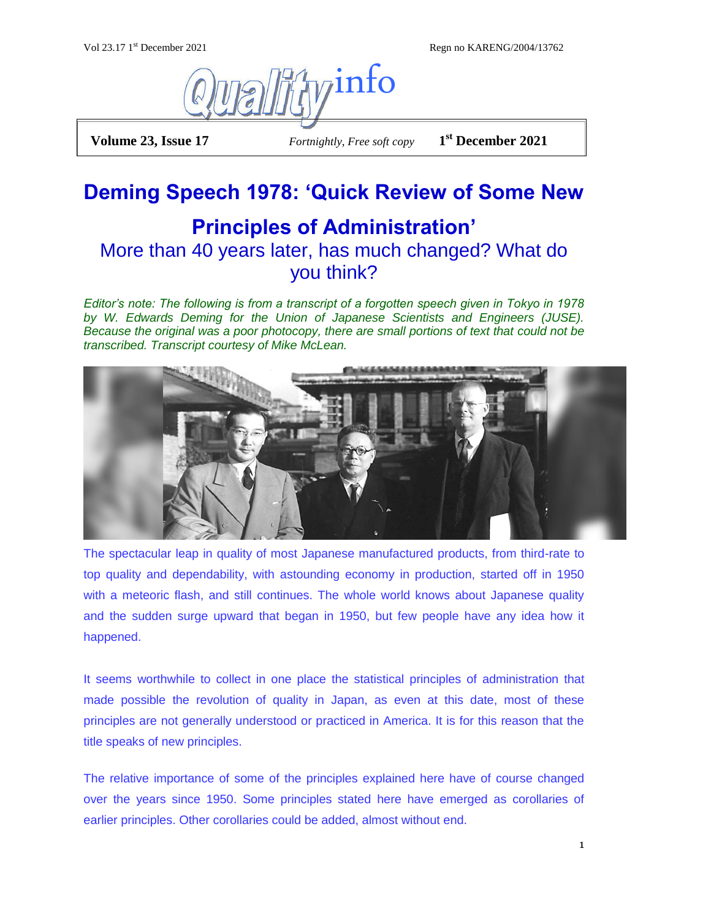Regn no KARENG/2004/13762



**Volume 23, Issue 17** *Fortnightly, Free soft copy* 

**st December 2021**

# **Deming Speech 1978: 'Quick Review of Some New**

## **Principles of Administration'** More than 40 years later, has much changed? What do you think?

*Editor's note: The following is from a transcript of a forgotten speech given in Tokyo in 1978 by W. Edwards Deming for the Union of Japanese Scientists and Engineers (JUSE). Because the original was a poor photocopy, there are small portions of text that could not be transcribed. Transcript courtesy of Mike McLean.*



The spectacular leap in quality of most Japanese manufactured products, from third-rate to top quality and dependability, with astounding economy in production, started off in 1950 with a meteoric flash, and still continues. The whole world knows about Japanese quality and the sudden surge upward that began in 1950, but few people have any idea how it happened.

It seems worthwhile to collect in one place the statistical principles of administration that made possible the revolution of quality in Japan, as even at this date, most of these principles are not generally understood or practiced in America. It is for this reason that the title speaks of new principles.

The relative importance of some of the principles explained here have of course changed over the years since 1950. Some principles stated here have emerged as corollaries of earlier principles. Other corollaries could be added, almost without end.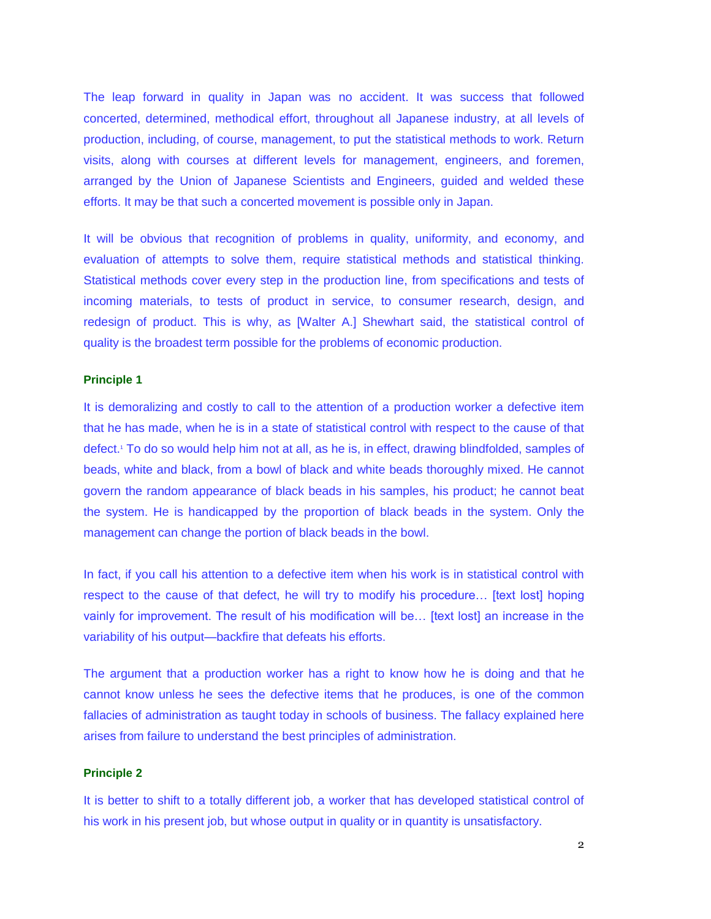The leap forward in quality in Japan was no accident. It was success that followed concerted, determined, methodical effort, throughout all Japanese industry, at all levels of production, including, of course, management, to put the statistical methods to work. Return visits, along with courses at different levels for management, engineers, and foremen, arranged by the Union of Japanese Scientists and Engineers, guided and welded these efforts. It may be that such a concerted movement is possible only in Japan.

It will be obvious that recognition of problems in quality, uniformity, and economy, and evaluation of attempts to solve them, require statistical methods and statistical thinking. Statistical methods cover every step in the production line, from specifications and tests of incoming materials, to tests of product in service, to consumer research, design, and redesign of product. This is why, as [Walter A.] Shewhart said, the statistical control of quality is the broadest term possible for the problems of economic production.

### **Principle 1**

It is demoralizing and costly to call to the attention of a production worker a defective item that he has made, when he is in a state of statistical control with respect to the cause of that defect.<sup>1</sup> To do so would help him not at all, as he is, in effect, drawing blindfolded, samples of beads, white and black, from a bowl of black and white beads thoroughly mixed. He cannot govern the random appearance of black beads in his samples, his product; he cannot beat the system. He is handicapped by the proportion of black beads in the system. Only the management can change the portion of black beads in the bowl.

In fact, if you call his attention to a defective item when his work is in statistical control with respect to the cause of that defect, he will try to modify his procedure… [text lost] hoping vainly for improvement. The result of his modification will be… [text lost] an increase in the variability of his output—backfire that defeats his efforts.

The argument that a production worker has a right to know how he is doing and that he cannot know unless he sees the defective items that he produces, is one of the common fallacies of administration as taught today in schools of business. The fallacy explained here arises from failure to understand the best principles of administration.

## **Principle 2**

It is better to shift to a totally different job, a worker that has developed statistical control of his work in his present job, but whose output in quality or in quantity is unsatisfactory.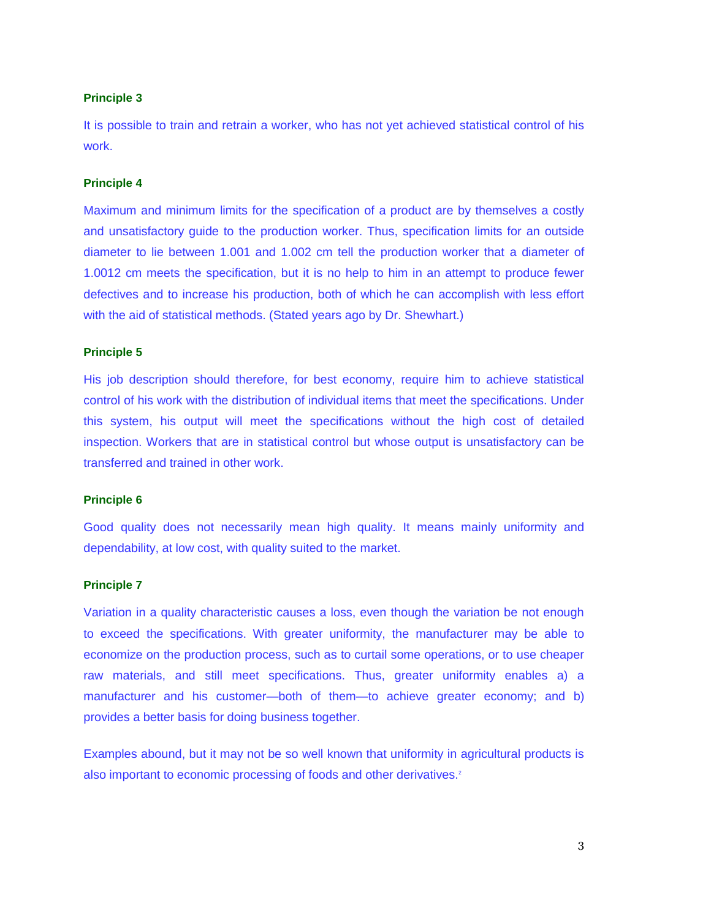It is possible to train and retrain a worker, who has not yet achieved statistical control of his work.

### **Principle 4**

Maximum and minimum limits for the specification of a product are by themselves a costly and unsatisfactory guide to the production worker. Thus, specification limits for an outside diameter to lie between 1.001 and 1.002 cm tell the production worker that a diameter of 1.0012 cm meets the specification, but it is no help to him in an attempt to produce fewer defectives and to increase his production, both of which he can accomplish with less effort with the aid of statistical methods. (Stated years ago by Dr. Shewhart.)

## **Principle 5**

His job description should therefore, for best economy, require him to achieve statistical control of his work with the distribution of individual items that meet the specifications. Under this system, his output will meet the specifications without the high cost of detailed inspection. Workers that are in statistical control but whose output is unsatisfactory can be transferred and trained in other work.

## **Principle 6**

Good quality does not necessarily mean high quality. It means mainly uniformity and dependability, at low cost, with quality suited to the market.

#### **Principle 7**

Variation in a quality characteristic causes a loss, even though the variation be not enough to exceed the specifications. With greater uniformity, the manufacturer may be able to economize on the production process, such as to curtail some operations, or to use cheaper raw materials, and still meet specifications. Thus, greater uniformity enables a) a manufacturer and his customer—both of them—to achieve greater economy; and b) provides a better basis for doing business together.

Examples abound, but it may not be so well known that uniformity in agricultural products is also important to economic processing of foods and other derivatives.<sup>2</sup>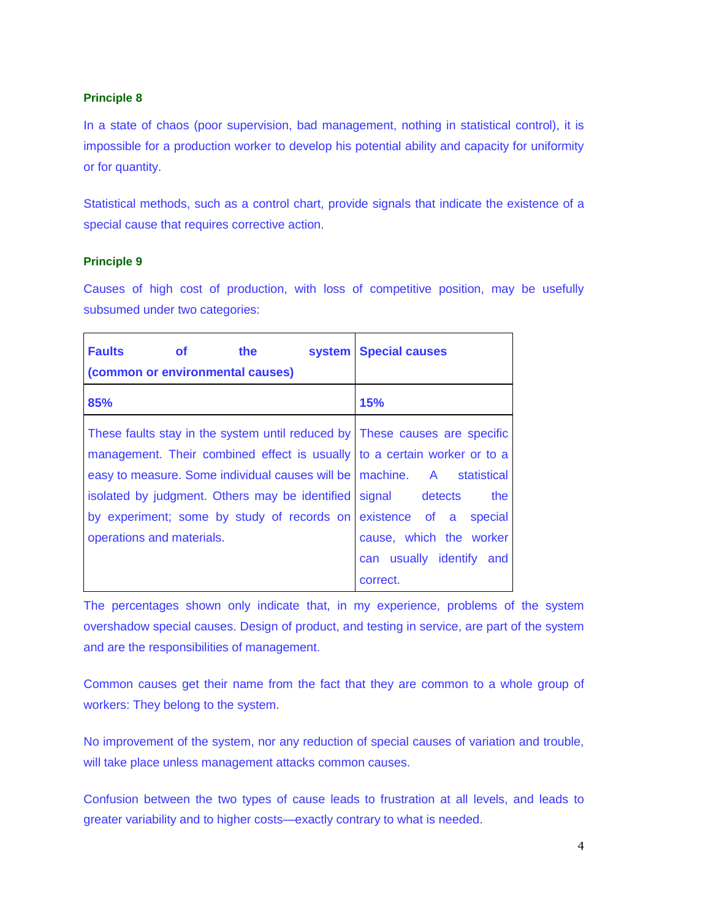In a state of chaos (poor supervision, bad management, nothing in statistical control), it is impossible for a production worker to develop his potential ability and capacity for uniformity or for quantity.

Statistical methods, such as a control chart, provide signals that indicate the existence of a special cause that requires corrective action.

## **Principle 9**

Causes of high cost of production, with loss of competitive position, may be usefully subsumed under two categories:

| <b>Faults</b><br>the<br><b>of</b><br>system                                | <b>Special causes</b>    |
|----------------------------------------------------------------------------|--------------------------|
| (common or environmental causes)                                           |                          |
| 85%                                                                        | 15%                      |
| These faults stay in the system until reduced by These causes are specific |                          |
| management. Their combined effect is usually to a certain worker or to a   |                          |
| easy to measure. Some individual causes will be   machine. A statistical   |                          |
| isolated by judgment. Others may be identified                             | signal detects<br>the    |
| by experiment; some by study of records on existence of a special          |                          |
| operations and materials.                                                  | cause, which the worker  |
|                                                                            | can usually identify and |
|                                                                            | correct.                 |

The percentages shown only indicate that, in my experience, problems of the system overshadow special causes. Design of product, and testing in service, are part of the system and are the responsibilities of management.

Common causes get their name from the fact that they are common to a whole group of workers: They belong to the system.

No improvement of the system, nor any reduction of special causes of variation and trouble, will take place unless management attacks common causes.

Confusion between the two types of cause leads to frustration at all levels, and leads to greater variability and to higher costs—exactly contrary to what is needed.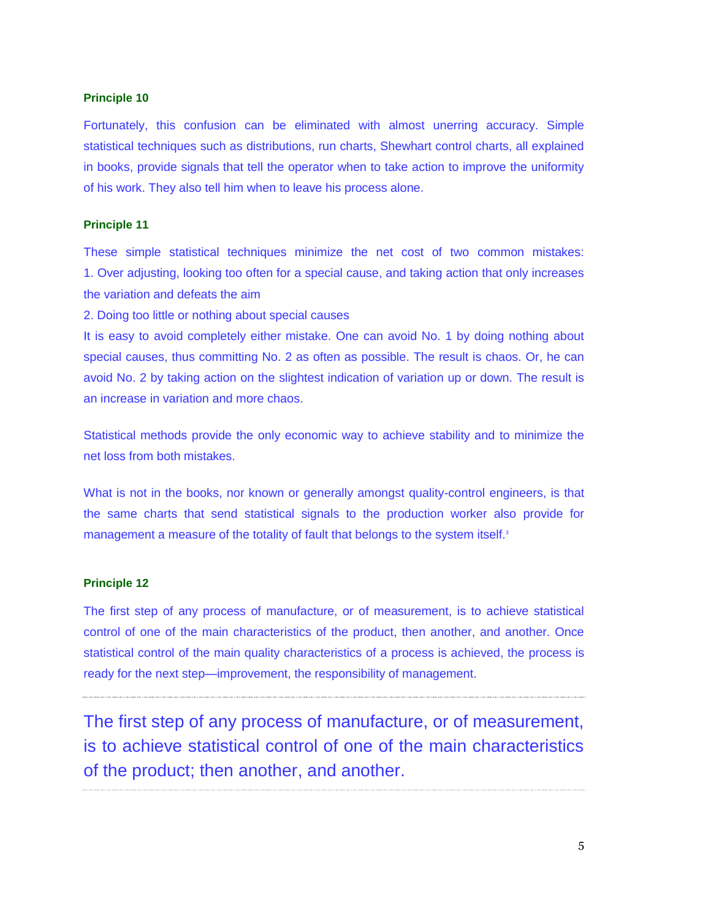Fortunately, this confusion can be eliminated with almost unerring accuracy. Simple statistical techniques such as distributions, run charts, Shewhart control charts, all explained in books, provide signals that tell the operator when to take action to improve the uniformity of his work. They also tell him when to leave his process alone.

## **Principle 11**

These simple statistical techniques minimize the net cost of two common mistakes: 1. Over adjusting, looking too often for a special cause, and taking action that only increases the variation and defeats the aim

2. Doing too little or nothing about special causes

It is easy to avoid completely either mistake. One can avoid No. 1 by doing nothing about special causes, thus committing No. 2 as often as possible. The result is chaos. Or, he can avoid No. 2 by taking action on the slightest indication of variation up or down. The result is an increase in variation and more chaos.

Statistical methods provide the only economic way to achieve stability and to minimize the net loss from both mistakes.

What is not in the books, nor known or generally amongst quality-control engineers, is that the same charts that send statistical signals to the production worker also provide for management a measure of the totality of fault that belongs to the system itself.<sup>3</sup>

## **Principle 12**

The first step of any process of manufacture, or of measurement, is to achieve statistical control of one of the main characteristics of the product, then another, and another. Once statistical control of the main quality characteristics of a process is achieved, the process is ready for the next step—improvement, the responsibility of management.

The first step of any process of manufacture, or of measurement, is to achieve statistical control of one of the main characteristics of the product; then another, and another.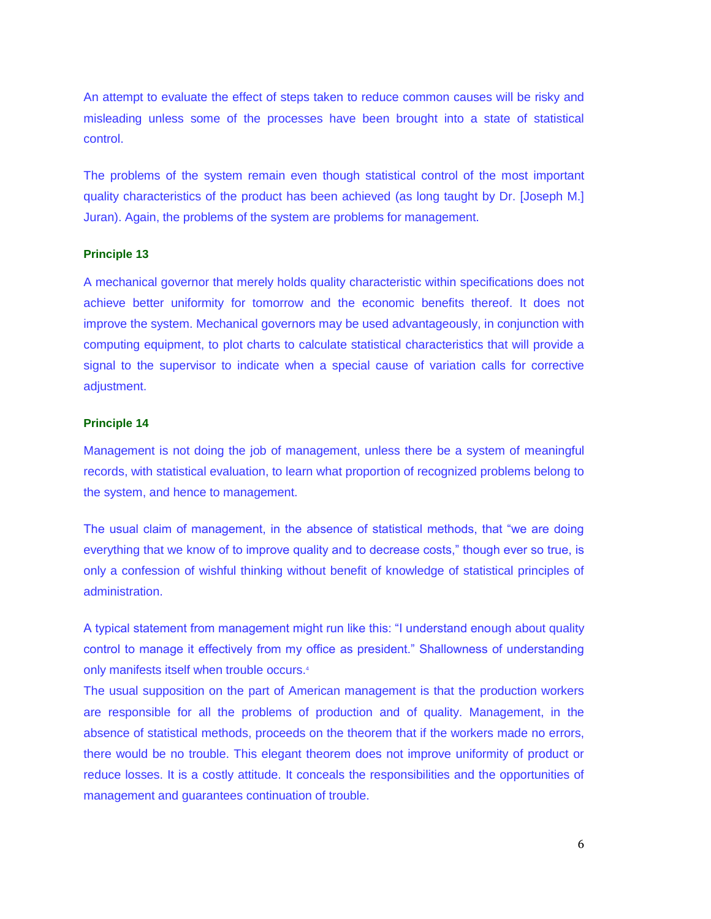An attempt to evaluate the effect of steps taken to reduce common causes will be risky and misleading unless some of the processes have been brought into a state of statistical control.

The problems of the system remain even though statistical control of the most important quality characteristics of the product has been achieved (as long taught by Dr. [Joseph M.] Juran). Again, the problems of the system are problems for management.

## **Principle 13**

A mechanical governor that merely holds quality characteristic within specifications does not achieve better uniformity for tomorrow and the economic benefits thereof. It does not improve the system. Mechanical governors may be used advantageously, in conjunction with computing equipment, to plot charts to calculate statistical characteristics that will provide a signal to the supervisor to indicate when a special cause of variation calls for corrective adjustment.

## **Principle 14**

Management is not doing the job of management, unless there be a system of meaningful records, with statistical evaluation, to learn what proportion of recognized problems belong to the system, and hence to management.

The usual claim of management, in the absence of statistical methods, that "we are doing everything that we know of to improve quality and to decrease costs," though ever so true, is only a confession of wishful thinking without benefit of knowledge of statistical principles of administration.

A typical statement from management might run like this: "I understand enough about quality control to manage it effectively from my office as president." Shallowness of understanding only manifests itself when trouble occurs.<sup>4</sup>

The usual supposition on the part of American management is that the production workers are responsible for all the problems of production and of quality. Management, in the absence of statistical methods, proceeds on the theorem that if the workers made no errors, there would be no trouble. This elegant theorem does not improve uniformity of product or reduce losses. It is a costly attitude. It conceals the responsibilities and the opportunities of management and guarantees continuation of trouble.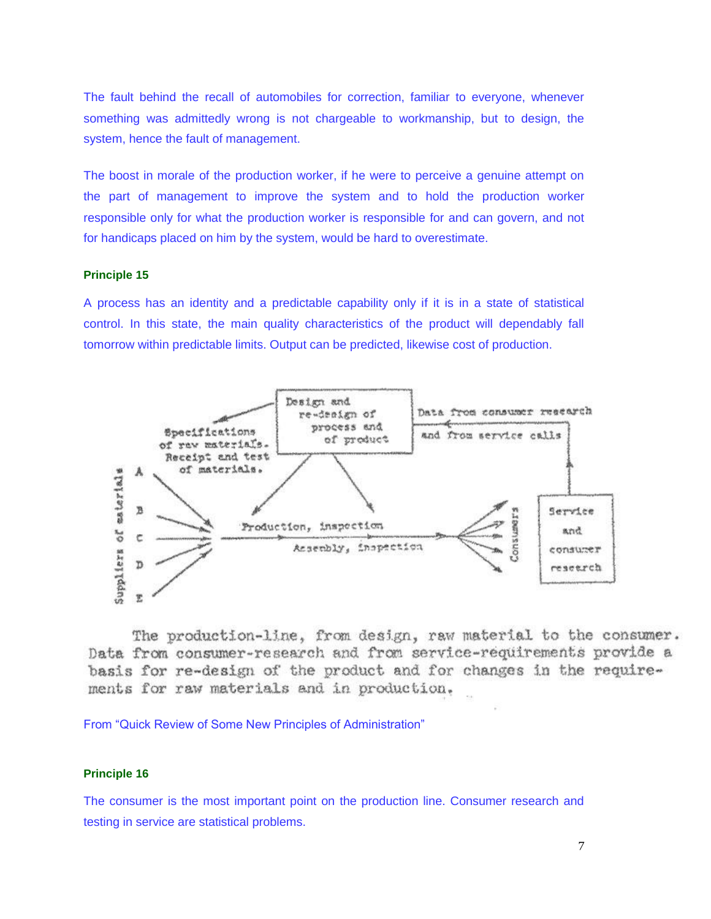The fault behind the recall of automobiles for correction, familiar to everyone, whenever something was admittedly wrong is not chargeable to workmanship, but to design, the system, hence the fault of management.

The boost in morale of the production worker, if he were to perceive a genuine attempt on the part of management to improve the system and to hold the production worker responsible only for what the production worker is responsible for and can govern, and not for handicaps placed on him by the system, would be hard to overestimate.

## **Principle 15**

A process has an identity and a predictable capability only if it is in a state of statistical control. In this state, the main quality characteristics of the product will dependably fall tomorrow within predictable limits. Output can be predicted, likewise cost of production.



The production-line, from design, raw material to the consumer. Data from consumer-research and from service-requirements provide a basis for re-design of the product and for changes in the requirements for raw materials and in production.

From "Quick Review of Some New Principles of Administration"

## **Principle 16**

The consumer is the most important point on the production line. Consumer research and testing in service are statistical problems.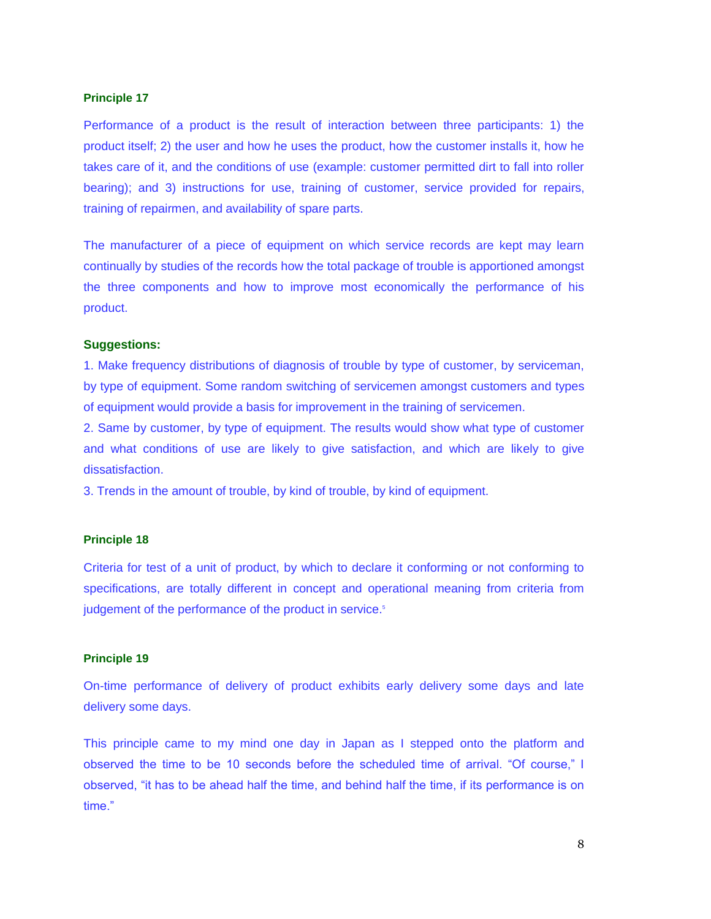Performance of a product is the result of interaction between three participants: 1) the product itself; 2) the user and how he uses the product, how the customer installs it, how he takes care of it, and the conditions of use (example: customer permitted dirt to fall into roller bearing); and 3) instructions for use, training of customer, service provided for repairs, training of repairmen, and availability of spare parts.

The manufacturer of a piece of equipment on which service records are kept may learn continually by studies of the records how the total package of trouble is apportioned amongst the three components and how to improve most economically the performance of his product.

### **Suggestions:**

1. Make frequency distributions of diagnosis of trouble by type of customer, by serviceman, by type of equipment. Some random switching of servicemen amongst customers and types of equipment would provide a basis for improvement in the training of servicemen.

2. Same by customer, by type of equipment. The results would show what type of customer and what conditions of use are likely to give satisfaction, and which are likely to give dissatisfaction.

3. Trends in the amount of trouble, by kind of trouble, by kind of equipment.

## **Principle 18**

Criteria for test of a unit of product, by which to declare it conforming or not conforming to specifications, are totally different in concept and operational meaning from criteria from judgement of the performance of the product in service.<sup>5</sup>

## **Principle 19**

On-time performance of delivery of product exhibits early delivery some days and late delivery some days.

This principle came to my mind one day in Japan as I stepped onto the platform and observed the time to be 10 seconds before the scheduled time of arrival. "Of course," I observed, "it has to be ahead half the time, and behind half the time, if its performance is on time."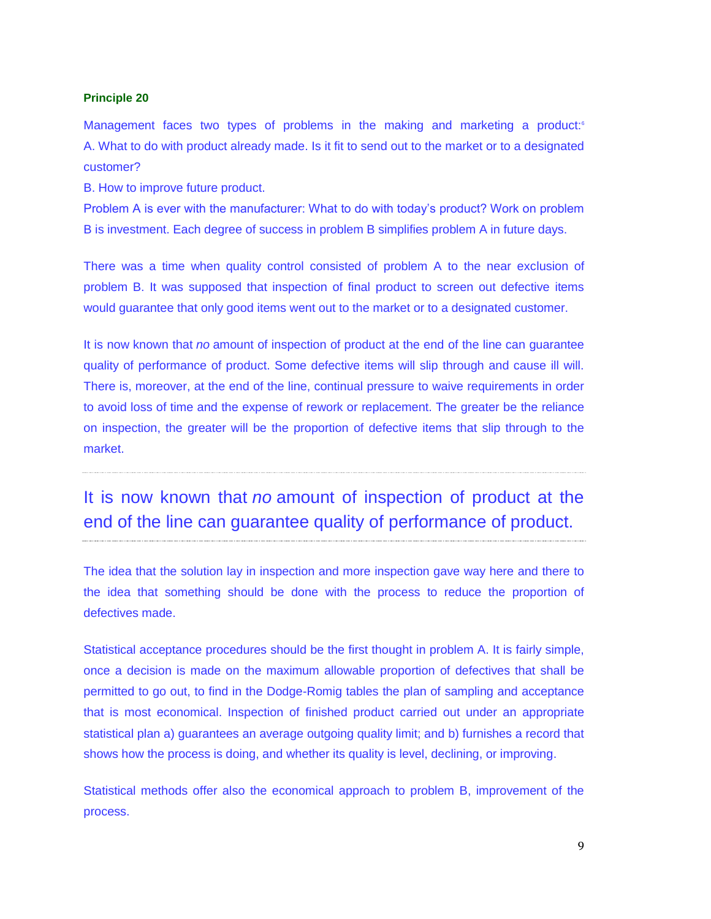Management faces two types of problems in the making and marketing a product:<sup>6</sup> A. What to do with product already made. Is it fit to send out to the market or to a designated customer?

B. How to improve future product.

Problem A is ever with the manufacturer: What to do with today's product? Work on problem B is investment. Each degree of success in problem B simplifies problem A in future days.

There was a time when quality control consisted of problem A to the near exclusion of problem B. It was supposed that inspection of final product to screen out defective items would guarantee that only good items went out to the market or to a designated customer.

It is now known that *no* amount of inspection of product at the end of the line can guarantee quality of performance of product. Some defective items will slip through and cause ill will. There is, moreover, at the end of the line, continual pressure to waive requirements in order to avoid loss of time and the expense of rework or replacement. The greater be the reliance on inspection, the greater will be the proportion of defective items that slip through to the market.

## It is now known that *no* amount of inspection of product at the end of the line can guarantee quality of performance of product.

The idea that the solution lay in inspection and more inspection gave way here and there to the idea that something should be done with the process to reduce the proportion of defectives made.

Statistical acceptance procedures should be the first thought in problem A. It is fairly simple, once a decision is made on the maximum allowable proportion of defectives that shall be permitted to go out, to find in the Dodge-Romig tables the plan of sampling and acceptance that is most economical. Inspection of finished product carried out under an appropriate statistical plan a) guarantees an average outgoing quality limit; and b) furnishes a record that shows how the process is doing, and whether its quality is level, declining, or improving.

Statistical methods offer also the economical approach to problem B, improvement of the process.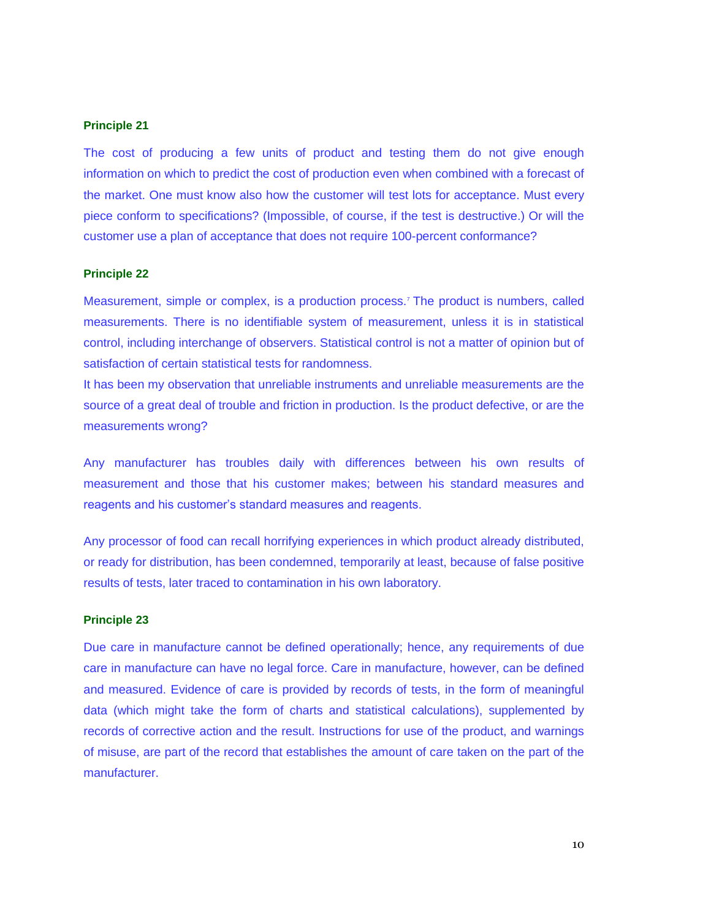The cost of producing a few units of product and testing them do not give enough information on which to predict the cost of production even when combined with a forecast of the market. One must know also how the customer will test lots for acceptance. Must every piece conform to specifications? (Impossible, of course, if the test is destructive.) Or will the customer use a plan of acceptance that does not require 100-percent conformance?

## **Principle 22**

Measurement, simple or complex, is a production process.<sup>7</sup> The product is numbers, called measurements. There is no identifiable system of measurement, unless it is in statistical control, including interchange of observers. Statistical control is not a matter of opinion but of satisfaction of certain statistical tests for randomness.

It has been my observation that unreliable instruments and unreliable measurements are the source of a great deal of trouble and friction in production. Is the product defective, or are the measurements wrong?

Any manufacturer has troubles daily with differences between his own results of measurement and those that his customer makes; between his standard measures and reagents and his customer's standard measures and reagents.

Any processor of food can recall horrifying experiences in which product already distributed, or ready for distribution, has been condemned, temporarily at least, because of false positive results of tests, later traced to contamination in his own laboratory.

## **Principle 23**

Due care in manufacture cannot be defined operationally; hence, any requirements of due care in manufacture can have no legal force. Care in manufacture, however, can be defined and measured. Evidence of care is provided by records of tests, in the form of meaningful data (which might take the form of charts and statistical calculations), supplemented by records of corrective action and the result. Instructions for use of the product, and warnings of misuse, are part of the record that establishes the amount of care taken on the part of the manufacturer.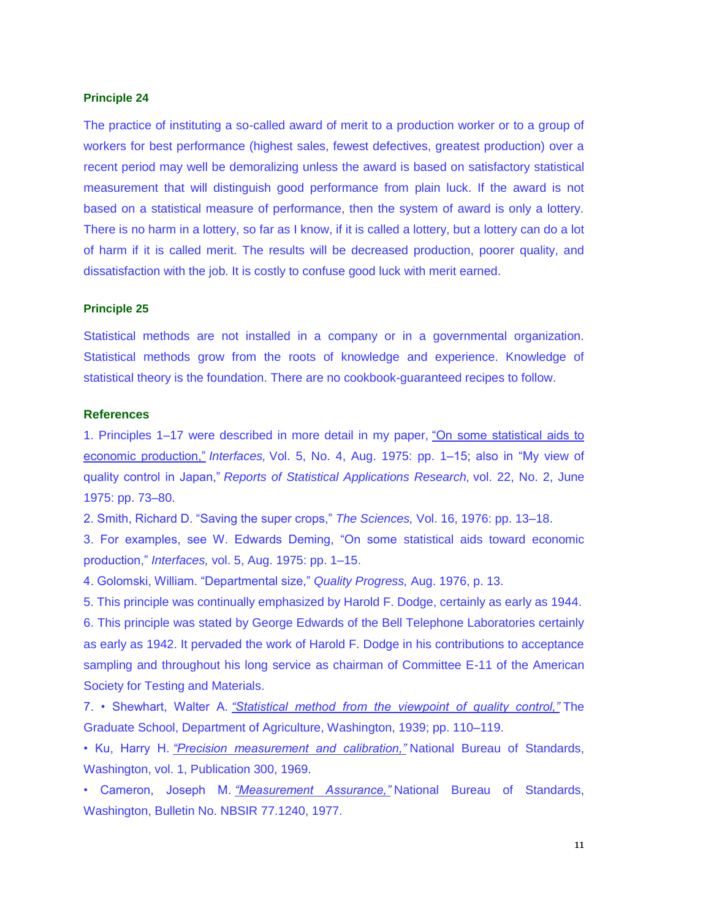The practice of instituting a so-called award of merit to a production worker or to a group of workers for best performance (highest sales, fewest defectives, greatest production) over a recent period may well be demoralizing unless the award is based on satisfactory statistical measurement that will distinguish good performance from plain luck. If the award is not based on a statistical measure of performance, then the system of award is only a lottery. There is no harm in a lottery, so far as I know, if it is called a lottery, but a lottery can do a lot of harm if it is called merit. The results will be decreased production, poorer quality, and dissatisfaction with the job. It is costly to confuse good luck with merit earned.

### **Principle 25**

Statistical methods are not installed in a company or in a governmental organization. Statistical methods grow from the roots of knowledge and experience. Knowledge of statistical theory is the foundation. There are no cookbook-guaranteed recipes to follow.

#### **References**

1. Principles 1–17 were described in more detail in my paper, ["On some statistical aids to](https://www.jstor.org/stable/25059215)  [economic production,"](https://www.jstor.org/stable/25059215) *Interfaces,* Vol. 5, No. 4, Aug. 1975: pp. 1–15; also in "My view of quality control in Japan," *Reports of Statistical Applications Research,* vol. 22, No. 2, June 1975: pp. 73–80.

2. Smith, Richard D. "Saving the super crops," *The Sciences,* Vol. 16, 1976: pp. 13–18.

3. For examples, see W. Edwards Deming, "On some statistical aids toward economic production," *Interfaces,* vol. 5, Aug. 1975: pp. 1–15.

4. Golomski, William. "Departmental size," *Quality Progress,* Aug. 1976, p. 13.

5. This principle was continually emphasized by Harold F. Dodge, certainly as early as 1944. 6. This principle was stated by George Edwards of the Bell Telephone Laboratories certainly as early as 1942. It pervaded the work of Harold F. Dodge in his contributions to acceptance sampling and throughout his long service as chairman of Committee E-11 of the American Society for Testing and Materials.

7. • Shewhart, Walter A. *["Statistical method from the viewpoint of quality control,"](https://www.worldcat.org/title/statistical-method-from-the-viewpoint-of-quality-control/oclc/1249225)* The Graduate School, Department of Agriculture, Washington, 1939; pp. 110–119.

• Ku, Harry H. *["Precision measurement and calibration,"](https://nvlpubs.nist.gov/nistpubs/Legacy/SP/nbsspecialpublication300v1.pdf)* National Bureau of Standards, Washington, vol. 1, Publication 300, 1969.

• Cameron, Joseph M. *["Measurement Assurance,"](https://nvlpubs.nist.gov/nistpubs/Legacy/IR/nbsir77-1240.pdf)* National Bureau of Standards, Washington, Bulletin No. NBSIR 77.1240, 1977.